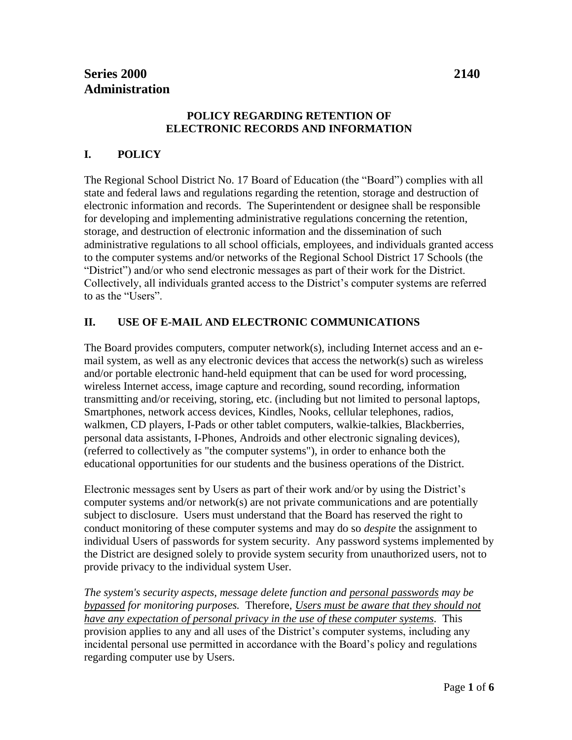#### **POLICY REGARDING RETENTION OF ELECTRONIC RECORDS AND INFORMATION**

# **I. POLICY**

The Regional School District No. 17 Board of Education (the "Board") complies with all state and federal laws and regulations regarding the retention, storage and destruction of electronic information and records. The Superintendent or designee shall be responsible for developing and implementing administrative regulations concerning the retention, storage, and destruction of electronic information and the dissemination of such administrative regulations to all school officials, employees, and individuals granted access to the computer systems and/or networks of the Regional School District 17 Schools (the "District") and/or who send electronic messages as part of their work for the District. Collectively, all individuals granted access to the District's computer systems are referred to as the "Users".

### **II. USE OF E-MAIL AND ELECTRONIC COMMUNICATIONS**

The Board provides computers, computer network $(s)$ , including Internet access and an email system, as well as any electronic devices that access the network(s) such as wireless and/or portable electronic hand-held equipment that can be used for word processing, wireless Internet access, image capture and recording, sound recording, information transmitting and/or receiving, storing, etc. (including but not limited to personal laptops, Smartphones, network access devices, Kindles, Nooks, cellular telephones, radios, walkmen, CD players, I-Pads or other tablet computers, walkie-talkies, Blackberries, personal data assistants, I-Phones, Androids and other electronic signaling devices), (referred to collectively as "the computer systems"), in order to enhance both the educational opportunities for our students and the business operations of the District.

Electronic messages sent by Users as part of their work and/or by using the District's computer systems and/or network(s) are not private communications and are potentially subject to disclosure. Users must understand that the Board has reserved the right to conduct monitoring of these computer systems and may do so *despite* the assignment to individual Users of passwords for system security. Any password systems implemented by the District are designed solely to provide system security from unauthorized users, not to provide privacy to the individual system User.

*The system's security aspects, message delete function and personal passwords may be bypassed for monitoring purposes.* Therefore, *Users must be aware that they should not have any expectation of personal privacy in the use of these computer systems.* This provision applies to any and all uses of the District's computer systems, including any incidental personal use permitted in accordance with the Board's policy and regulations regarding computer use by Users.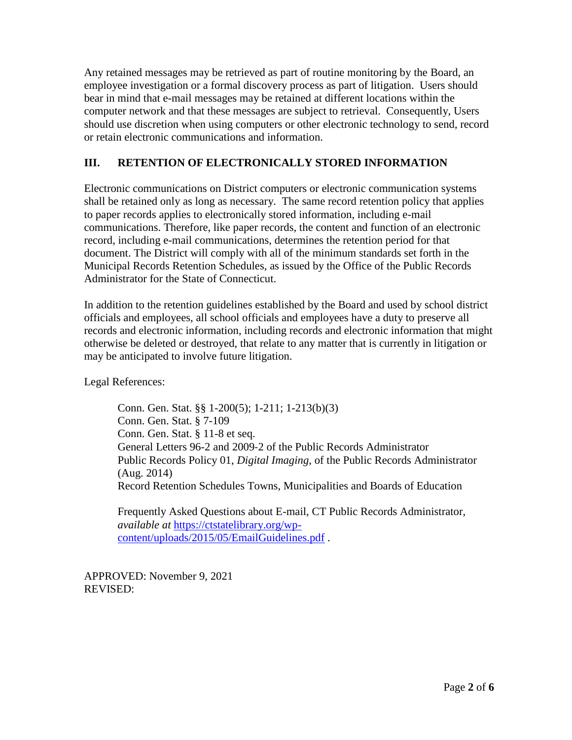Any retained messages may be retrieved as part of routine monitoring by the Board, an employee investigation or a formal discovery process as part of litigation. Users should bear in mind that e-mail messages may be retained at different locations within the computer network and that these messages are subject to retrieval. Consequently, Users should use discretion when using computers or other electronic technology to send, record or retain electronic communications and information.

## **III. RETENTION OF ELECTRONICALLY STORED INFORMATION**

Electronic communications on District computers or electronic communication systems shall be retained only as long as necessary. The same record retention policy that applies to paper records applies to electronically stored information, including e-mail communications. Therefore, like paper records, the content and function of an electronic record, including e-mail communications, determines the retention period for that document. The District will comply with all of the minimum standards set forth in the Municipal Records Retention Schedules, as issued by the Office of the Public Records Administrator for the State of Connecticut.

In addition to the retention guidelines established by the Board and used by school district officials and employees, all school officials and employees have a duty to preserve all records and electronic information, including records and electronic information that might otherwise be deleted or destroyed, that relate to any matter that is currently in litigation or may be anticipated to involve future litigation.

Legal References:

Conn. Gen. Stat. §§ 1-200(5); 1-211; 1-213(b)(3) Conn. Gen. Stat. § 7-109 Conn. Gen. Stat. § 11-8 et seq. General Letters 96-2 and 2009-2 of the Public Records Administrator Public Records Policy 01, *Digital Imaging*, of the Public Records Administrator (Aug. 2014) Record Retention Schedules Towns, Municipalities and Boards of Education

Frequently Asked Questions about E-mail, CT Public Records Administrator, *available at* [https://ctstatelibrary.org/wp](https://ctstatelibrary.org/wp-content/uploads/2015/05/EmailGuidelines.pdf)[content/uploads/2015/05/EmailGuidelines.pdf](https://ctstatelibrary.org/wp-content/uploads/2015/05/EmailGuidelines.pdf) .

APPROVED: November 9, 2021 REVISED: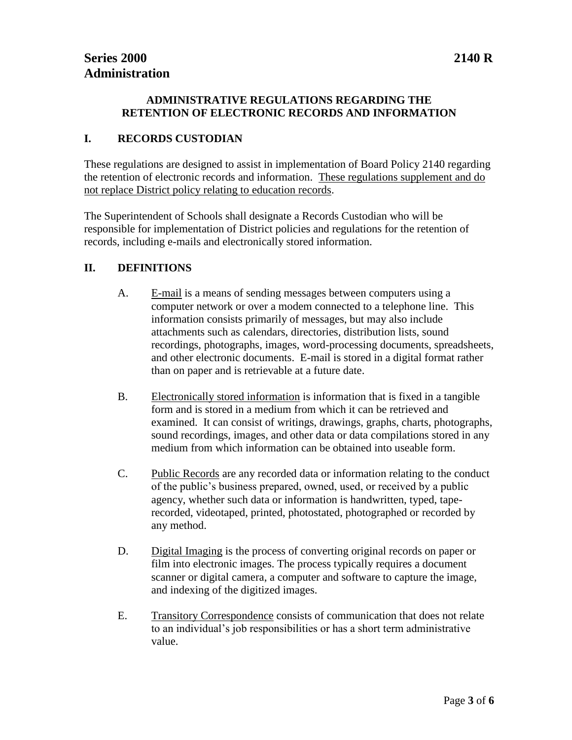#### **ADMINISTRATIVE REGULATIONS REGARDING THE RETENTION OF ELECTRONIC RECORDS AND INFORMATION**

#### **I. RECORDS CUSTODIAN**

These regulations are designed to assist in implementation of Board Policy 2140 regarding the retention of electronic records and information. These regulations supplement and do not replace District policy relating to education records.

The Superintendent of Schools shall designate a Records Custodian who will be responsible for implementation of District policies and regulations for the retention of records, including e-mails and electronically stored information.

#### **II. DEFINITIONS**

- A. E-mail is a means of sending messages between computers using a computer network or over a modem connected to a telephone line. This information consists primarily of messages, but may also include attachments such as calendars, directories, distribution lists, sound recordings, photographs, images, word-processing documents, spreadsheets, and other electronic documents. E-mail is stored in a digital format rather than on paper and is retrievable at a future date.
- B. Electronically stored information is information that is fixed in a tangible form and is stored in a medium from which it can be retrieved and examined. It can consist of writings, drawings, graphs, charts, photographs, sound recordings, images, and other data or data compilations stored in any medium from which information can be obtained into useable form.
- C. Public Records are any recorded data or information relating to the conduct of the public's business prepared, owned, used, or received by a public agency, whether such data or information is handwritten, typed, taperecorded, videotaped, printed, photostated, photographed or recorded by any method.
- D. Digital Imaging is the process of converting original records on paper or film into electronic images. The process typically requires a document scanner or digital camera, a computer and software to capture the image, and indexing of the digitized images.
- E. Transitory Correspondence consists of communication that does not relate to an individual's job responsibilities or has a short term administrative value.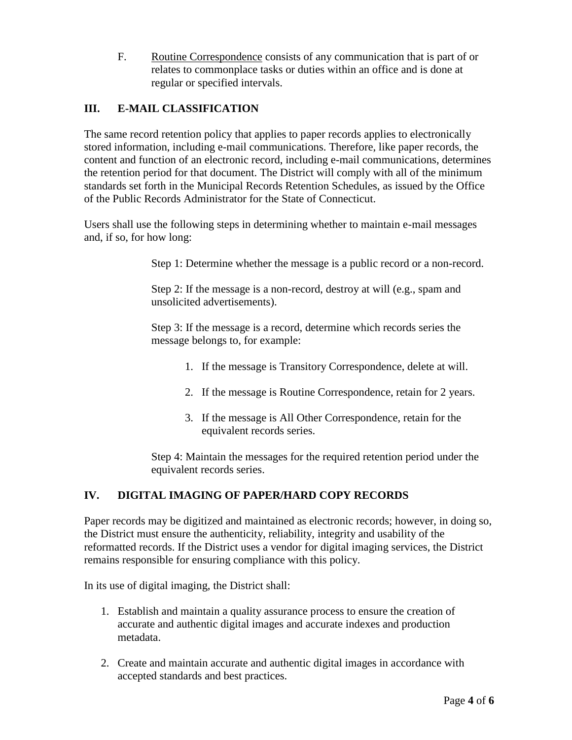F. Routine Correspondence consists of any communication that is part of or relates to commonplace tasks or duties within an office and is done at regular or specified intervals.

# **III. E-MAIL CLASSIFICATION**

The same record retention policy that applies to paper records applies to electronically stored information, including e-mail communications. Therefore, like paper records, the content and function of an electronic record, including e-mail communications, determines the retention period for that document. The District will comply with all of the minimum standards set forth in the Municipal Records Retention Schedules, as issued by the Office of the Public Records Administrator for the State of Connecticut.

Users shall use the following steps in determining whether to maintain e-mail messages and, if so, for how long:

Step 1: Determine whether the message is a public record or a non-record.

Step 2: If the message is a non-record, destroy at will (e.g., spam and unsolicited advertisements).

Step 3: If the message is a record, determine which records series the message belongs to, for example:

- 1. If the message is Transitory Correspondence, delete at will.
- 2. If the message is Routine Correspondence, retain for 2 years.
- 3. If the message is All Other Correspondence, retain for the equivalent records series.

Step 4: Maintain the messages for the required retention period under the equivalent records series.

### **IV. DIGITAL IMAGING OF PAPER/HARD COPY RECORDS**

Paper records may be digitized and maintained as electronic records; however, in doing so, the District must ensure the authenticity, reliability, integrity and usability of the reformatted records. If the District uses a vendor for digital imaging services, the District remains responsible for ensuring compliance with this policy.

In its use of digital imaging, the District shall:

- 1. Establish and maintain a quality assurance process to ensure the creation of accurate and authentic digital images and accurate indexes and production metadata.
- 2. Create and maintain accurate and authentic digital images in accordance with accepted standards and best practices.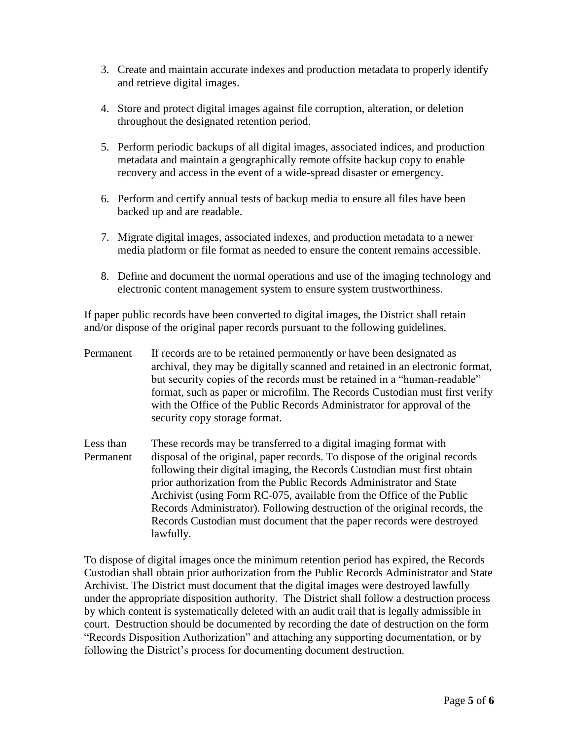- 3. Create and maintain accurate indexes and production metadata to properly identify and retrieve digital images.
- 4. Store and protect digital images against file corruption, alteration, or deletion throughout the designated retention period.
- 5. Perform periodic backups of all digital images, associated indices, and production metadata and maintain a geographically remote offsite backup copy to enable recovery and access in the event of a wide-spread disaster or emergency.
- 6. Perform and certify annual tests of backup media to ensure all files have been backed up and are readable.
- 7. Migrate digital images, associated indexes, and production metadata to a newer media platform or file format as needed to ensure the content remains accessible.
- 8. Define and document the normal operations and use of the imaging technology and electronic content management system to ensure system trustworthiness.

If paper public records have been converted to digital images, the District shall retain and/or dispose of the original paper records pursuant to the following guidelines.

- Permanent If records are to be retained permanently or have been designated as archival, they may be digitally scanned and retained in an electronic format, but security copies of the records must be retained in a "human-readable" format, such as paper or microfilm. The Records Custodian must first verify with the Office of the Public Records Administrator for approval of the security copy storage format.
- Less than These records may be transferred to a digital imaging format with Permanent disposal of the original, paper records. To dispose of the original records following their digital imaging, the Records Custodian must first obtain prior authorization from the Public Records Administrator and State Archivist (using Form RC-075, available from the Office of the Public Records Administrator). Following destruction of the original records, the Records Custodian must document that the paper records were destroyed lawfully.

To dispose of digital images once the minimum retention period has expired, the Records Custodian shall obtain prior authorization from the Public Records Administrator and State Archivist. The District must document that the digital images were destroyed lawfully under the appropriate disposition authority. The District shall follow a destruction process by which content is systematically deleted with an audit trail that is legally admissible in court. Destruction should be documented by recording the date of destruction on the form "Records Disposition Authorization" and attaching any supporting documentation, or by following the District's process for documenting document destruction.